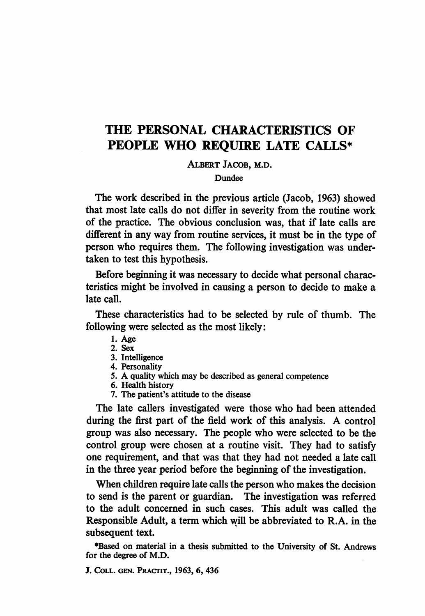# THE PERSONAL CHARACTERISTICS OF PEOPLE WHO REQUIRE LATE CALLS\*

ALBERT JACOB, M.D.

Dundee

The work described in the previous article (Jacob, 1963) showed that most late calls do not differ in severity from the routine work of the practice. The obvious conclusion was, that if late calls are different in any way from routine services, it must be in the type of person who requires them. The following investigation was undertaken to test this hypothesis.

Before beginning it was necessary to decide what personal characteristics might be involved in causing a person to decide to make a late call.

These characteristics had to be selected by rule of thumb. The following were selected as the most likely:

- 1. Age
- 2. Sex
- 3. Intelligence
- 4. Personality
- 5. A quality which may be described as general competence
- 6. Health history
- 7. The patient's attitude to the disease

The late callers investigated were those who had been attended during the first part of the field work of this analysis. A control group was also necessary. The people who were selected to be the control group were chosen at a routine visit. They had to satisfy one requirement, and that was that they had not needed a late call in the three year period before the beginning of the investigation.

When children require late calls the person who makes the decision to send is the parent or guardian. The investigation was referred to the adult concerned in such cases. This adult was called the Responsible Adult, a term which will be abbreviated to R.A. in the subsequent text.

\*Based on material in a thesis submitted to the University of St. Andrews for the degree of M.D.

J. COLL. GEN. PRACIIT., 1963, 6, 436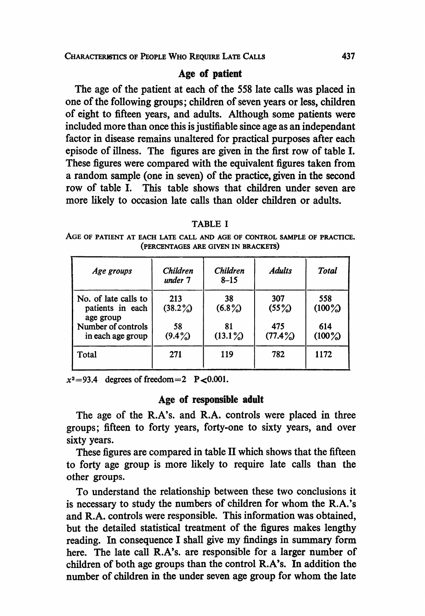# Age of patient

The age of the patient at each of the 558 late calls was placed in one of the following groups; children of seven years or less, children of eight to fifteen years, and adults. Although some patients were included more than once this is justifiable since age as an independant factor in disease remains unaltered for practical purposes after each episode of illness. The figures are given in the first row of table I. These figures were compared with the equivalent figures taken from a random sample (one in seven) of the practice, given in the second row of table I. This table shows that children under seven are more likely to occasion late calls than older children or adults.

#### TABLE <sup>I</sup>

AGE OF PATIENT AT EACH LATE CALL AND AGE OF CONTROL SAMPLE OF PRACTICE. (PERCENTAGES ARE GIVEN IN BRACKETS)

| Age groups                                            | Children<br>under 7 | <b>Children</b><br>$8 - 15$ | <b>Adults</b>     | Total            |
|-------------------------------------------------------|---------------------|-----------------------------|-------------------|------------------|
| No. of late calls to<br>patients in each<br>age group | 213<br>(38.2%)      | 38<br>$(6.8\%)$             | 307<br>$(55\%)$   | 558<br>$(100\%)$ |
| Number of controls<br>in each age group               | 58<br>$(9.4\%)$     | 81<br>$(13.1\%)$            | 475<br>$(77.4\%)$ | 614<br>$(100\%)$ |
| Total                                                 | 271                 | 119                         | 782               | 1172             |

 $x^2=93.4$  degrees of freedom = 2 P < 0.001.

#### Age of responsible adult

The age of the R.A's. and R.A. controls were placed in three groups; fifteen to forty years, forty-one to sixty years, and over sixty years.

These figures are compared in table II which shows that the fifteen to forty age group is more likely to require late calls than the other groups.

To understand the relationship between these two conclusions it is necessary to study the numbers of children for whom the R.A.'s and R.A. controls were responsible. This information was obtained, but the detailed statistical treatment of the figures makes lengthy reading. In consequence <sup>I</sup> shall give my findings in summary form here. The late call R.A's. are responsible for a larger number of children of both age groups than the control R.A's. In addition the number of children in the under seven age group for whom the late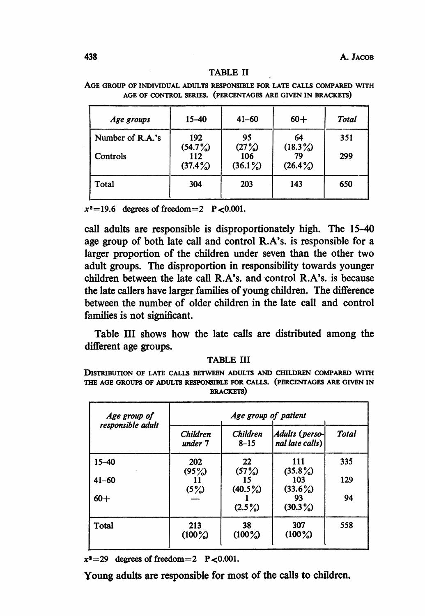438 A. JACOB

#### TABLE II

| Age groups       | 15–40             | $41 - 60$         | $60+$            | Total |
|------------------|-------------------|-------------------|------------------|-------|
| Number of R.A.'s | 192<br>(54.7%)    | 95<br>(27%)       | 64<br>$(18.3\%)$ | 351   |
| Controls         | 112<br>$(37.4\%)$ | 106<br>$(36.1\%)$ | 79<br>$(26.4\%)$ | 299   |
| Total            | 304               | 203               | 143              | 650   |

AGE GROUP OF INDIVIDUAL ADULTS RESPONSIBLE FOR LATE CALLS COMPARED WITH AGE OF CONTROL SERIES. (PERCENTAGES ARE GIVEN IN BRACKETS)

 $x^2=19.6$  degrees of freedom = 2 P < 0.001.

call adults are responsible is disproportionately high. The 15-40 age group of both late call and control R.A's. is responsible for a larger proportion of the children under seven than the other two adult groups. The disproportion in responsibility towards younger children between the late call R.A's. and control R.A's. is because the late callers have larger families of young children. The difference between the number of older children in the late call and control families is not significant.

Table III shows how the late calls are distributed among the different age groups.

#### TABLE III

DISTRIBUTION OF LATE CALLS BETWEEN ADULTS AND CHILDREN COMPARED WITH THE AGE GROUPS OF ADULTS RESPONSIBLE FOR CALLS. (PERCENTAGES ARE GIVEN IN BRACKETS)

| Age group of      | Age group of patient       |                             |                                   |              |  |  |  |  |
|-------------------|----------------------------|-----------------------------|-----------------------------------|--------------|--|--|--|--|
| responsible adult | <b>Children</b><br>under 7 | <b>Children</b><br>$8 - 15$ | Adults (perso-<br>nal late calls) | <b>Total</b> |  |  |  |  |
| $15 - 40$         | 202<br>(95%)               | 22<br>(57%)                 | 111<br>$(35.8\%)$                 | 335          |  |  |  |  |
| $41 - 60$         | (5%)                       | 15<br>$(40.5\%)$            | 103<br>(33.6%)                    | 129          |  |  |  |  |
| $60+$             |                            | $(2.5\%)$                   | 93<br>$(30.3\%)$                  | 94           |  |  |  |  |
| Total             | 213<br>$(100\%)$           | 38<br>$(100\%)$             | 307<br>$(100\%)$                  | 558          |  |  |  |  |

 $x^2=29$  degrees of freedom = 2 P < 0.001.

Young adults are responsible for most of the calls to children.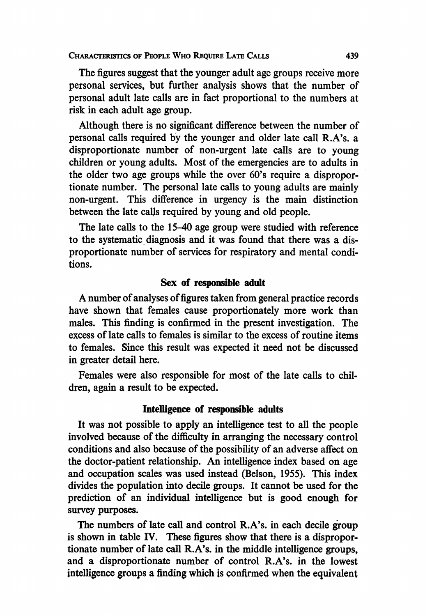CHARACERiSTICS OF PEOPLE WHO REQUIRE LATE CALLS

The figures suggest that the younger adult age groups receive more personal services, but further analysis shows that the number of personal adult late calls are in fact proportional to the numbers at risk in each adult age group.

Although there is no significant difference between the number of personal calls required by the younger and older late call R.A's. a disproportionate number of non-urgent late calls are to young children or young adults. Most of the emergencies are to adults in the older two age groups while the over 60's require a disproportionate number. The personal late calls to young adults are mainly non-urgent. This difference in urgency is the main distinction between the late calls required by young and old people.

The late calls to the 15-40 age group were studied with reference to the systematic diagnosis and it was found that there was a disproportionate number of services for respiratory and mental conditions.

# Sex of responsible adult

A number of analyses of figures taken from general practice records have shown that females cause proportionately more work than males. This finding is confirmed in the present investigation. The excess of late calls to females is similar to the excess of routine items to females. Since this result was expected it need not be discussed in greater detail here.

Females were also responsible for most of the late calls to children, again a result to be expected.

# Intelligence of responsible adults

It was not possible to apply an intelligence test to all the people involved because of the difficulty in arranging the necessary control conditions and also because of the possibility of an adverse affect on the doctor-patient relationship. An intelligence index based on age and occupation scales was used instead (Belson, 1955). This index divides the population into decile groups. It cannot be used for the prediction of an individual intelligence but is good enough for survey purposes.

The numbers of late call and control R.A's. in each decile group is shown in table IV. These figures show that there is a disproportionate number of late call R.A's. in the middle intelligence groups, and a disproportionate number of control R.A's. in the lowest intelligence groups a finding which is confirmed when the equivalent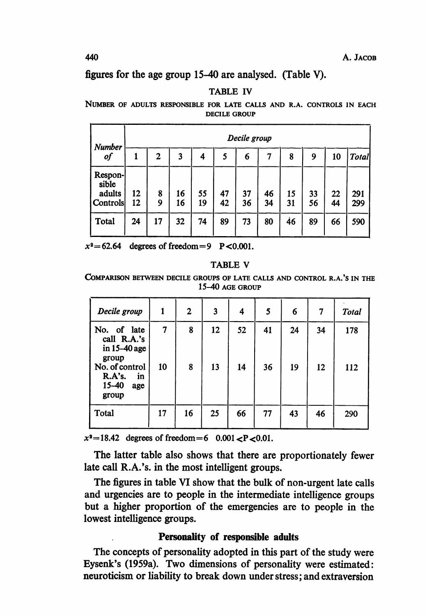A. JACOB

# figures for the age group 15-40 are analysed. (Table V).

# TABLE IV

NUMBER OF ADULTS RESPONSIBLE FOR LATE CALLS AND R.A. CONTROLS IN EACH DECILE GROUP

| Number                     |    | Decile group |    |    |    |    |    |    |    |    |       |
|----------------------------|----|--------------|----|----|----|----|----|----|----|----|-------|
| of                         |    | 2            | 3  | 4  | 5  | 6  |    | 8  | 9  | 10 | Total |
| Respon-<br>sible<br>adults | 12 | 8            | 16 | 55 | 47 | 37 | 46 | 15 | 33 | 22 | 291   |
| Controls                   | 12 | 9            | 16 | 19 | 42 | 36 | 34 | 31 | 56 | 44 | 299   |
| Total                      | 24 | 17           | 32 | 74 | 89 | 73 | 80 | 46 | 89 | 66 | 590   |

 $x^2 = 62.64$  degrees of freedom = 9 P < 0.001.

#### TABLE V

COMPARISON BETWEEN DECILE GROUPS OF LATE CALLS AND CONTROL R.A.'S IN THE 15-40 AGE GROUP

| Decile group                                                            | 1       | $\overline{2}$ | 3        | 4        | 5        | 6        | 7        | Total      |
|-------------------------------------------------------------------------|---------|----------------|----------|----------|----------|----------|----------|------------|
| No. of late<br>call R.A.'s<br>in $15-40$ age<br>group<br>No. of control | 7<br>10 | 8<br>8         | 12<br>13 | 52<br>14 | 41<br>36 | 24<br>19 | 34<br>12 | 178<br>112 |
| R.A's.<br>in<br>$15 - 40$<br>age<br>group                               |         |                |          |          |          |          |          |            |
| Total                                                                   | 17      | 16             | 25       | 66       | 77       | 43       | 46       | 290        |

 $x^2 = 18.42$  degrees of freedom = 6 0.001 < P < 0.01.

The latter table also shows that there are proportionately fewer late call R.A.'s. in the most intelligent groups.

The figures in table VI show that the bulk of non-urgent late calls and urgencies are to people in the intermediate intelligence groups but a higher proportion of the emergencies are to people in the lowest intelligence groups.

# Personality of responsible adults

The concepts of personality adopted in this part of the study were Eysenk's (1959a). Two dimensions of personality were estimated: neuroticism or liability to break down under stress; and extraversion

440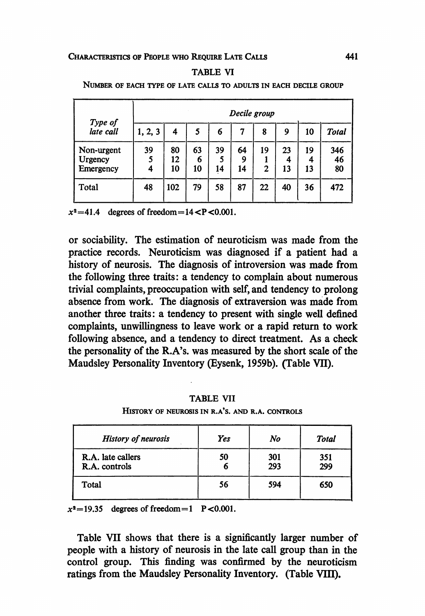#### CHARACTERISTICS OF PEOPLE WHO REQUIRE LATE CALLS

#### TABLE VI

|                                    |              |                |               |               | Decile group  |         |               |               |                 |
|------------------------------------|--------------|----------------|---------------|---------------|---------------|---------|---------------|---------------|-----------------|
| Type of<br>late call               | 1, 2, 3      | 4              |               | 6             | 7             | 8       | 9             | 10            | <b>Total</b>    |
| Non-urgent<br>Urgency<br>Emergency | 39<br>5<br>4 | 80<br>12<br>10 | 63<br>6<br>10 | 39<br>5<br>14 | 64<br>9<br>14 | 19<br>2 | 23<br>4<br>13 | 19<br>4<br>13 | 346<br>46<br>80 |
| Total                              | 48           | 102            | 79            | 58            | 87            | 22      | 40            | 36            | 472             |

NUMBER OF EACH TYPE OF LATE CALLS TO ADULTS IN EACH DECILE GROUP

 $x^2=41.4$  degrees of freedom = 14 < P < 0.001.

or sociability. The estimation of neuroticism was made from the practice records. Neuroticism was diagnosed if a patient had a history of neurosis. The diagnosis of introversion was made from the following three traits: a tendency to complain about numerous trivial complaints, preoccupation with self, and tendency to prolong absence from work. The diagnosis of extraversion was made from another three traits: a tendency to present with single well defined complaints, unwillingness to leave work or a rapid return to work following absence, and a tendency to direct treatment. As a check the personality of the R.A's. was measured by the short scale of the Maudsley Personality Inventory (Eysenk, 1959b). (Table VII).

TABLE VII

HISTORY OF NEUROSIS IN R.A'S. AND R.A. CONTROLS

| <b>History of neurosis</b>         | Yes | No         | Total      |
|------------------------------------|-----|------------|------------|
| R.A. late callers<br>R.A. controls | 50  | 301<br>293 | 351<br>299 |
| Total                              | 56  | 594        | 650        |

 $x^2=19.35$  degrees of freedom = 1 P < 0.001.

Table VII shows that there is a significantly larger number of people with a history of neurosis in the late call group than in the control group. This finding was confirmed by the neuroticism ratings from the Maudsley Personality Inventory. (Table VHI).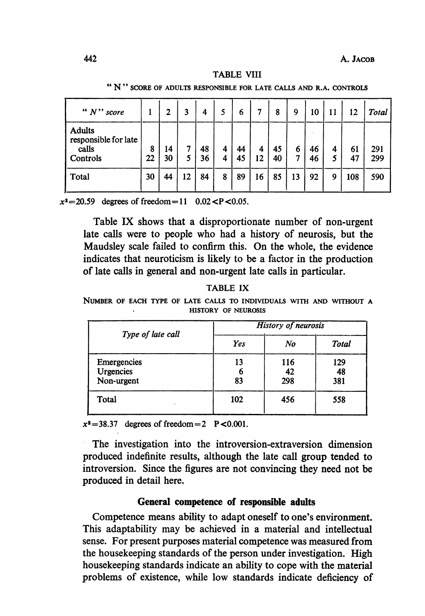#### TABLE VIII

N" SCORE OF ADULTS RESPONSIBLE FOR LATE CALLS AND R.A. CONTROLS

| " $N$ " score                                              |         | 2        | 3      | 4        | 5      | 6        | 7       | 8        | 9      | 10       | 11     | 12       | Total      |
|------------------------------------------------------------|---------|----------|--------|----------|--------|----------|---------|----------|--------|----------|--------|----------|------------|
| <b>Adults</b><br>responsible for late<br>calls<br>Controls | 8<br>22 | 14<br>30 | 7<br>5 | 48<br>36 | 4<br>4 | 44<br>45 | 4<br>12 | 45<br>40 | 6<br>7 | 46<br>46 | 4<br>5 | 61<br>47 | 291<br>299 |
| Total                                                      | 30      | 44       | 12     | 84       | 8      | 89       | 16      | 85       | 13     | 92       | 9      | 108      | 590        |

 $x^2 = 20.59$  degrees of freedom = 11 0.02 <P < 0.05.

Table IX shows that a disproportionate number of non-urgent late calls were to people who had a history of neurosis, but the Maudsley scale failed to confirm this. On the whole, the evidence indicates that neuroticism is likely to be a factor in the production of late calls in general and non-urgent late calls in particular.

#### TABLE IX

NUMBER OF EACH TYPE OF LATE CALLS TO INDIVIDUALS WITH AND WITHOUT A HISTORY OF NEUROSIS

| Type of late call | <b>History of neurosis</b> |     |       |  |  |  |
|-------------------|----------------------------|-----|-------|--|--|--|
|                   | Yes                        | No  | Total |  |  |  |
| Emergencies       | 13                         | 116 | 129   |  |  |  |
| Urgencies         |                            | 42  | 48    |  |  |  |
| Non-urgent        | 83                         | 298 | 381   |  |  |  |
| Total<br>×.       | 102                        | 456 | 558   |  |  |  |

 $x^2=38.37$  degrees of freedom = 2 P < 0.001.

The investigation into the introversion-extraversion dimension produced indefinite results, although the late call group tended to introversion. Since the figures are not convincing they need not be produced in detail here.

#### General competence of responsible adults

Competence means ability to adapt oneself to one's environment. This adaptability may be achieved in a material and intellectual sense. For present purposes material competence was measured from the housekeeping standards of the person under investigation. High housekeeping standards indicate an ability to cope with the material problems of existence, while low standards indicate deficiency of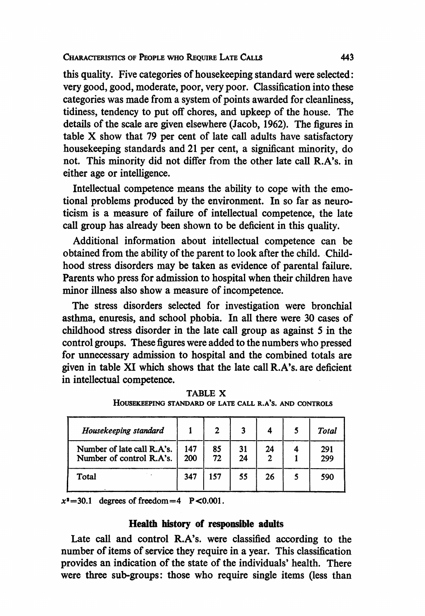this quality. Five categories of housekeeping standard were selected: very good, good, moderate, poor, very poor. Classification into these categories was made from a system of points awarded for cleanliness, tidiness, tendency to put off chores, and upkeep of the house. The details of the scale are given elsewhere (Jacob, 1962). The figures in table X show that <sup>79</sup> per cent of late call adults have satisfactory housekeeping standards and 21 per cent, a significant minority, do not. This minority did not differ from the other late call R.A's. in either age or intelligence.

Intellectual competence means the ability to cope with the emotional problems produced by the environment. In so far as neuroticism is a measure of failure of intellectual competence, the late call group has already been shown to be deficient in this quality.

Additional information about intellectual competence can be obtained from the ability of the parent to look after the child. Childhood stress disorders may be taken as evidence of parental failure. Parents who press for admission to hospital when their children have minor illness also show a measure of incompetence.

The stress disorders selected for investigation were bronchial asthma, enuresis, and school phobia. In all there were 30 cases of childhood stress disorder in the late call group as against 5 in the control groups. These figures were added to the numbers who pressed for unnecessary admission to hospital and the combined totals are given in table XI which shows that the late call R.A's. are deficient in intellectual competence.

| Housekeeping standard                                  |            | 2        |          |    | Total      |
|--------------------------------------------------------|------------|----------|----------|----|------------|
| Number of late call R.A's.<br>Number of control R.A's. | 147<br>200 | 85<br>72 | 31<br>24 | 24 | 291<br>299 |
| Total                                                  | 347        | 157      | 55       | 26 | 590        |

TABLE X HOUSEKEEPING STANDARD OF LATE CALL R.A'S. AND CONTROLS

 $x^2 = 30.1$  degrees of freedom = 4 P < 0.001.

## Health history of responsible adults

Late call and control R.A's. were classified according to the number of items of service they require in a year. This classification provides an indication of the state of the individuals' health. There were three sub-groups: those who require single items (less than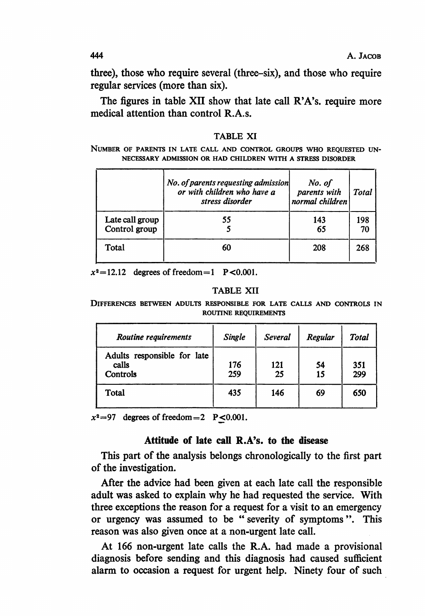444 **A. JACOB** 

three), those who require several (three-six), and those who require regular services (more than six).

The figures in table XII show that late call R'A's. require more medical attention than control R.A.s.

NUMBER OF PARENTS IN LATE CALL AND CONTROL GROUPS WHO REQUESTED UN-NECESSARY ADMISSION OR HAD CHILDREN WITH A STRESS DISORDER

|                                  | No. of parents requesting admission<br>or with children who have a<br>stress disorder | No. of<br>parents with<br>normal children | <b>Total</b> |
|----------------------------------|---------------------------------------------------------------------------------------|-------------------------------------------|--------------|
| Late call group<br>Control group | 55                                                                                    | 143<br>65                                 | 198<br>70    |
|                                  |                                                                                       |                                           |              |
| Total                            | 60                                                                                    | 208                                       | 268          |

 $x^2 = 12.12$  degrees of freedom = 1 P < 0.001.

#### TABLE XII

DIFFERENCES BETWEEN ADULTS RESPONSIBLE FOR LATE CALLS AND CONTROLS IN ROUTINE REQUIREMENTS

| Routine requirements                             | Single     | Several   | Regular  | Total      |
|--------------------------------------------------|------------|-----------|----------|------------|
| Adults responsible for late<br>calls<br>Controls | 176<br>259 | 121<br>25 | 54<br>15 | 351<br>299 |
| Total                                            | 435        | 146       | 69       | 650        |

 $x^2=97$  degrees of freedom = 2 P < 0.001.

## Affitude of late call R.A's. to the disease

This part of the analysis belongs chronologically to the first part of the investigation.

After the advice had been given at each late call the responsible adult was asked to explain why he had requested the service. With three exceptions the reason for a request for a visit to an emergency or urgency was assumed to be " severity of symptoms ". This reason was also given once at a non-urgent late call.

At 166 non-urgent late calls the R.A. had made a provisional diagnosis before sending and this diagnosis had caused sufficient alarm to occasion a request for urgent help. Ninety four of such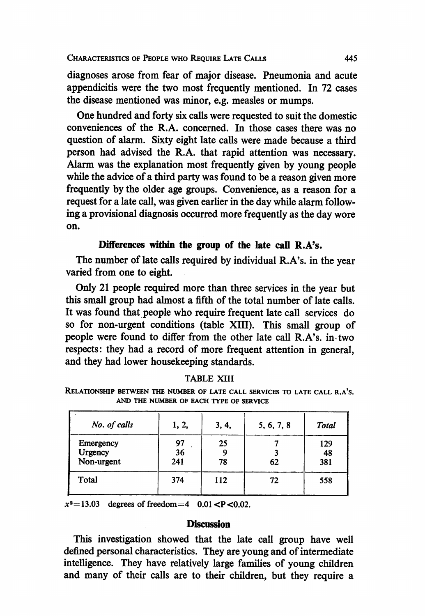diagnoses arose from fear of major disease. Pneumonia and acute appendicitis were the two most frequently mentioned. In 72 cases the disease mentioned was minor, e.g. measles or mumps.

One hundred and forty six calls were requested to suit the domestic conveniences of the R.A. concerned. In those cases there was no question of alarm. Sixty eight late calls were made because a third person had advised the R.A. that rapid attention was necessary. Alarm was the explanation most frequently given by young people while the advice of a third party was found to be a reason given more frequently by the older age groups. Convenience, as a reason for a request for a late call, was given earlier in the day while alarm following a provisional diagnosis occurred more frequently as the day wore on.

# Differences within the group of the late call R.A's.

The number of late calls required by individual R.A's. in the year varied from one to eight.

Only 21 people required more than three services in the year but this small group had almost a fifth of the total number of late calls. It was found that people who require frequent late call services do so for non-urgent conditions (table XIII). This small group of people were found to differ from the other late call R.A's. in two respects: they had a record of more frequent attention in general, and they had lower housekeeping standards.

|--|

RELATIONSHIP BETWEEN THE NUMBER OF LATE CALL SERVICES TO LATE CALL R.A'S. AND THE NUMBER OF EACH TYPE OF SERVICE

| No. of calls                       | 1, 2,           | 3, 4,    | 5, 6, 7, 8 | Total            |
|------------------------------------|-----------------|----------|------------|------------------|
| Emergency<br>Urgency<br>Non-urgent | 97<br>36<br>241 | 25<br>78 | 62         | 129<br>48<br>381 |
| Total                              | 374             | 112      | 72         | 558              |

 $x^2 = 13.03$  degrees of freedom = 4 0.01 < P < 0.02.

## **Discussion**

This investigation showed that the late call group have well defined personal characteristics. They are young and of intermediate intelligence. They have relatively large families of young children and many of their calls are to their children, but they require a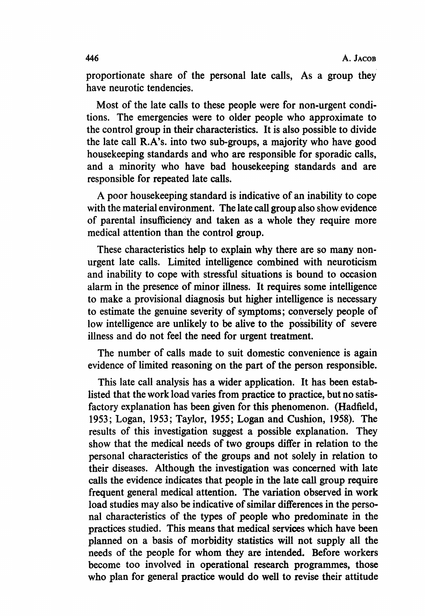proportionate share of the personal late calls, As a group they have neurotic tendencies.

Most of the late calls to these people were for non-urgent conditions. The emergencies were to older people who approximate to the control group in their characteristics. It is also possible to divide the late call R.A's. into two sub-groups, a majority who have good housekeeping standards and who are responsible for sporadic calls, and a minority who have bad housekeeping standards and are responsible for repeated late calls.

A poor housekeeping standard is indicative of an inability to cope with the material environment. The late call group also show evidence of parental insufficiency and taken as a whole they require more medical attention than the control group.

These characteristics help to explain why there are so many nonurgent late calls. Limited intelligence combined with neuroticism and inability to cope with stressful situations is bound to occasion alarm in the presence of minor illness. It requires some intelligence to make a provisional diagnosis but higher intelligence is necessary to estimate the genuine severity of symptoms; conversely people of low intelligence are unlikely to be alive to the possibility of severe illness and do not feel the need for urgent treatment.

The number of calls made to suit domestic convenience is again evidence of limited reasoning on the part of the person responsible.

This late call analysis has a wider application. It has been establisted that the work load varies from practice to practice, but no satisfactory explanation has been given for this phenomenon. (Hadfield, 1953; Logan, 1953; Taylor, 1955; Logan and Cushion, 1958). The results of this investigation suggest a possible explanation. They show that the medical needs of two groups differ in relation to the personal characteristics of the groups and not solely in relation to their diseases. Although the investigation was concerned with late calls the evidence indicates that people in the late call group require frequent general medical attention. The variation observed in work load studies may also be indicative of similar differences in the personal characteristics of the types of people who predominate in the practices studied. This means that medical services which have been planned on a basis of morbidity statistics will not supply all the needs of the people for whom they are intended. Before workers become too involved in operational research programmes, those who plan for general practice would do well to revise their attitude